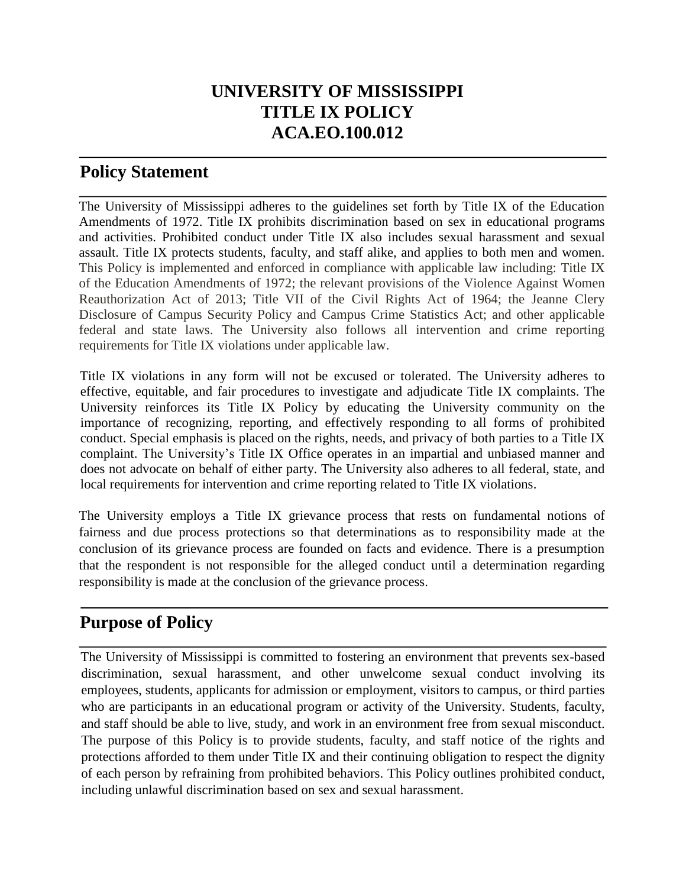# **UNIVERSITY OF MISSISSIPPI TITLE IX POLICY ACA.EO.100.012**

### **Policy Statement**

The University of Mississippi adheres to the guidelines set forth by Title IX of the Education Amendments of 1972. Title IX prohibits discrimination based on sex in educational programs and activities. Prohibited conduct under Title IX also includes sexual harassment and sexual assault. Title IX protects students, faculty, and staff alike, and applies to both men and women. This Policy is implemented and enforced in compliance with applicable law including: Title IX of the Education Amendments of 1972; the relevant provisions of the Violence Against Women Reauthorization Act of 2013; Title VII of the Civil Rights Act of 1964; the Jeanne Clery Disclosure of Campus Security Policy and Campus Crime Statistics Act; and other applicable federal and state laws. The University also follows all intervention and crime reporting requirements for Title IX violations under applicable law.

Title IX violations in any form will not be excused or tolerated. The University adheres to effective, equitable, and fair procedures to investigate and adjudicate Title IX complaints. The University reinforces its Title IX Policy by educating the University community on the importance of recognizing, reporting, and effectively responding to all forms of prohibited conduct. Special emphasis is placed on the rights, needs, and privacy of both parties to a Title IX complaint. The University's Title IX Office operates in an impartial and unbiased manner and does not advocate on behalf of either party. The University also adheres to all federal, state, and local requirements for intervention and crime reporting related to Title IX violations.

The University employs a Title IX grievance process that rests on fundamental notions of fairness and due process protections so that determinations as to responsibility made at the conclusion of its grievance process are founded on facts and evidence. There is a presumption that the respondent is not responsible for the alleged conduct until a determination regarding responsibility is made at the conclusion of the grievance process.

# **Purpose of Policy**

The University of Mississippi is committed to fostering an environment that prevents sex-based discrimination, sexual harassment, and other unwelcome sexual conduct involving its employees, students, applicants for admission or employment, visitors to campus, or third parties who are participants in an educational program or activity of the University. Students, faculty, and staff should be able to live, study, and work in an environment free from sexual misconduct. The purpose of this Policy is to provide students, faculty, and staff notice of the rights and protections afforded to them under Title IX and their continuing obligation to respect the dignity of each person by refraining from prohibited behaviors. This Policy outlines prohibited conduct, including unlawful discrimination based on sex and sexual harassment.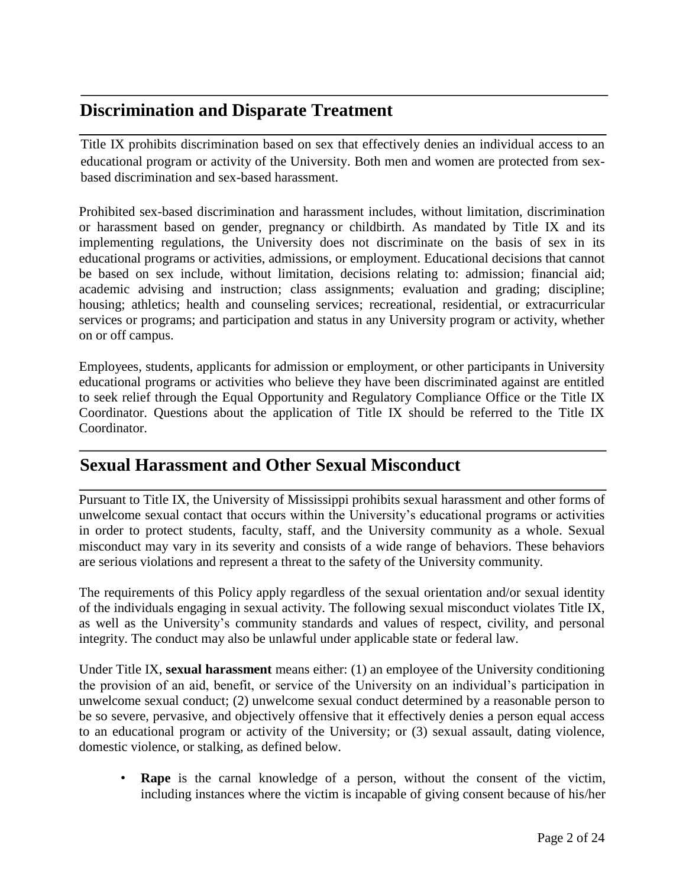# **Discrimination and Disparate Treatment**

Title IX prohibits discrimination based on sex that effectively denies an individual access to an educational program or activity of the University. Both men and women are protected from sexbased discrimination and sex-based harassment.

Prohibited sex-based discrimination and harassment includes, without limitation, discrimination or harassment based on gender, pregnancy or childbirth. As mandated by Title IX and its implementing regulations, the University does not discriminate on the basis of sex in its educational programs or activities, admissions, or employment. Educational decisions that cannot be based on sex include, without limitation, decisions relating to: admission; financial aid; academic advising and instruction; class assignments; evaluation and grading; discipline; housing; athletics; health and counseling services; recreational, residential, or extracurricular services or programs; and participation and status in any University program or activity, whether on or off campus.

Employees, students, applicants for admission or employment, or other participants in University educational programs or activities who believe they have been discriminated against are entitled to seek relief through the Equal Opportunity and Regulatory Compliance Office or the Title IX Coordinator. Questions about the application of Title IX should be referred to the Title IX Coordinator.

## **Sexual Harassment and Other Sexual Misconduct**

Pursuant to Title IX, the University of Mississippi prohibits sexual harassment and other forms of unwelcome sexual contact that occurs within the University's educational programs or activities in order to protect students, faculty, staff, and the University community as a whole. Sexual misconduct may vary in its severity and consists of a wide range of behaviors. These behaviors are serious violations and represent a threat to the safety of the University community.

The requirements of this Policy apply regardless of the sexual orientation and/or sexual identity of the individuals engaging in sexual activity. The following sexual misconduct violates Title IX, as well as the University's community standards and values of respect, civility, and personal integrity. The conduct may also be unlawful under applicable state or federal law.

Under Title IX, **sexual harassment** means either: (1) an employee of the University conditioning the provision of an aid, benefit, or service of the University on an individual's participation in unwelcome sexual conduct; (2) unwelcome sexual conduct determined by a reasonable person to be so severe, pervasive, and objectively offensive that it effectively denies a person equal access to an educational program or activity of the University; or (3) sexual assault, dating violence, domestic violence, or stalking, as defined below.

• **Rape** is the carnal knowledge of a person, without the consent of the victim, including instances where the victim is incapable of giving consent because of his/her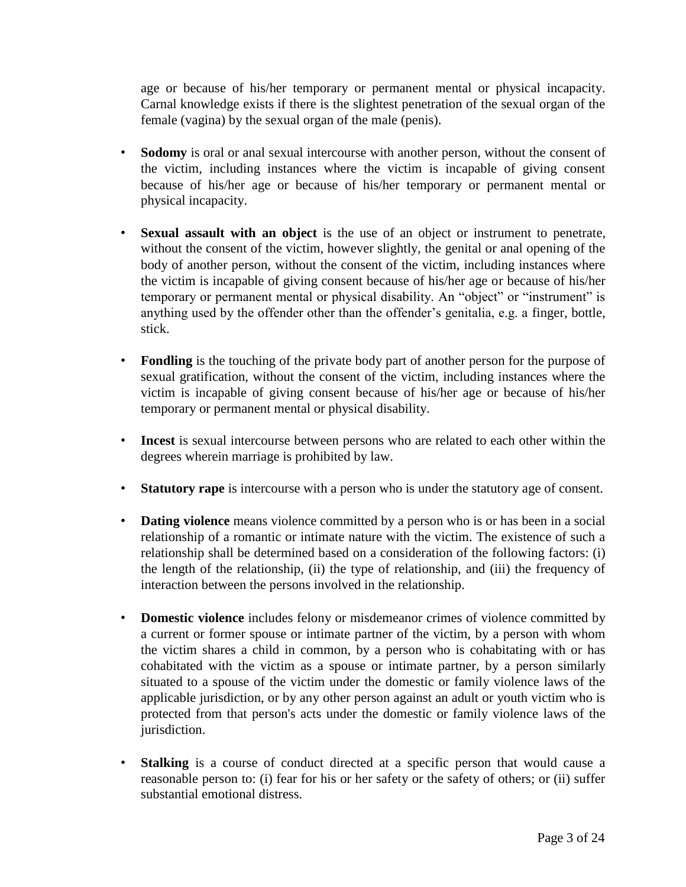age or because of his/her temporary or permanent mental or physical incapacity. Carnal knowledge exists if there is the slightest penetration of the sexual organ of the female (vagina) by the sexual organ of the male (penis).

- **Sodomy** is oral or anal sexual intercourse with another person, without the consent of the victim, including instances where the victim is incapable of giving consent because of his/her age or because of his/her temporary or permanent mental or physical incapacity.
- **Sexual assault with an object** is the use of an object or instrument to penetrate, without the consent of the victim, however slightly, the genital or anal opening of the body of another person, without the consent of the victim, including instances where the victim is incapable of giving consent because of his/her age or because of his/her temporary or permanent mental or physical disability. An "object" or "instrument" is anything used by the offender other than the offender's genitalia, e.g. a finger, bottle, stick.
- **Fondling** is the touching of the private body part of another person for the purpose of sexual gratification, without the consent of the victim, including instances where the victim is incapable of giving consent because of his/her age or because of his/her temporary or permanent mental or physical disability.
- **Incest** is sexual intercourse between persons who are related to each other within the degrees wherein marriage is prohibited by law.
- **Statutory rape** is intercourse with a person who is under the statutory age of consent.
- **Dating violence** means violence committed by a person who is or has been in a social relationship of a romantic or intimate nature with the victim. The existence of such a relationship shall be determined based on a consideration of the following factors: (i) the length of the relationship, (ii) the type of relationship, and (iii) the frequency of interaction between the persons involved in the relationship.
- **Domestic violence** includes felony or misdemeanor crimes of violence committed by a current or former spouse or intimate partner of the victim, by a person with whom the victim shares a child in common, by a person who is cohabitating with or has cohabitated with the victim as a spouse or intimate partner, by a person similarly situated to a spouse of the victim under the domestic or family violence laws of the applicable jurisdiction, or by any other person against an adult or youth victim who is protected from that person's acts under the domestic or family violence laws of the jurisdiction.
- **Stalking** is a course of conduct directed at a specific person that would cause a reasonable person to: (i) fear for his or her safety or the safety of others; or (ii) suffer substantial emotional distress.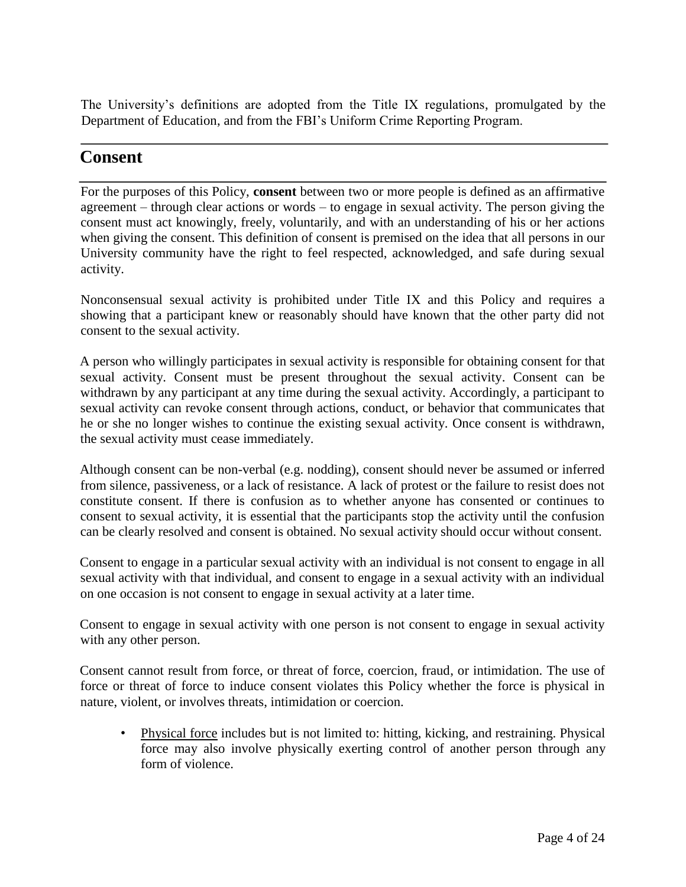The University's definitions are adopted from the Title IX regulations, promulgated by the Department of Education, and from the FBI's Uniform Crime Reporting Program.

## **Consent**

For the purposes of this Policy, **consent** between two or more people is defined as an affirmative agreement – through clear actions or words – to engage in sexual activity. The person giving the consent must act knowingly, freely, voluntarily, and with an understanding of his or her actions when giving the consent. This definition of consent is premised on the idea that all persons in our University community have the right to feel respected, acknowledged, and safe during sexual activity.

Nonconsensual sexual activity is prohibited under Title IX and this Policy and requires a showing that a participant knew or reasonably should have known that the other party did not consent to the sexual activity.

A person who willingly participates in sexual activity is responsible for obtaining consent for that sexual activity. Consent must be present throughout the sexual activity. Consent can be withdrawn by any participant at any time during the sexual activity. Accordingly, a participant to sexual activity can revoke consent through actions, conduct, or behavior that communicates that he or she no longer wishes to continue the existing sexual activity. Once consent is withdrawn, the sexual activity must cease immediately.

Although consent can be non-verbal (e.g. nodding), consent should never be assumed or inferred from silence, passiveness, or a lack of resistance. A lack of protest or the failure to resist does not constitute consent. If there is confusion as to whether anyone has consented or continues to consent to sexual activity, it is essential that the participants stop the activity until the confusion can be clearly resolved and consent is obtained. No sexual activity should occur without consent.

Consent to engage in a particular sexual activity with an individual is not consent to engage in all sexual activity with that individual, and consent to engage in a sexual activity with an individual on one occasion is not consent to engage in sexual activity at a later time.

Consent to engage in sexual activity with one person is not consent to engage in sexual activity with any other person.

Consent cannot result from force, or threat of force, coercion, fraud, or intimidation. The use of force or threat of force to induce consent violates this Policy whether the force is physical in nature, violent, or involves threats, intimidation or coercion.

• Physical force includes but is not limited to: hitting, kicking, and restraining. Physical force may also involve physically exerting control of another person through any form of violence.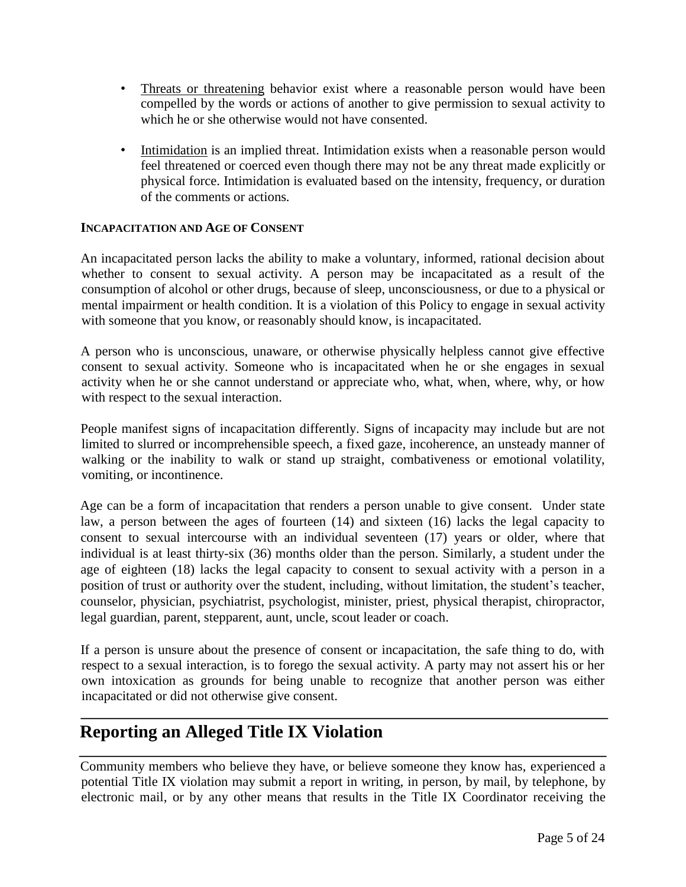- Threats or threatening behavior exist where a reasonable person would have been compelled by the words or actions of another to give permission to sexual activity to which he or she otherwise would not have consented.
- Intimidation is an implied threat. Intimidation exists when a reasonable person would feel threatened or coerced even though there may not be any threat made explicitly or physical force. Intimidation is evaluated based on the intensity, frequency, or duration of the comments or actions*.*

#### **INCAPACITATION AND AGE OF CONSENT**

An incapacitated person lacks the ability to make a voluntary, informed, rational decision about whether to consent to sexual activity. A person may be incapacitated as a result of the consumption of alcohol or other drugs, because of sleep, unconsciousness, or due to a physical or mental impairment or health condition. It is a violation of this Policy to engage in sexual activity with someone that you know, or reasonably should know, is incapacitated.

A person who is unconscious, unaware, or otherwise physically helpless cannot give effective consent to sexual activity. Someone who is incapacitated when he or she engages in sexual activity when he or she cannot understand or appreciate who, what, when, where, why, or how with respect to the sexual interaction.

People manifest signs of incapacitation differently. Signs of incapacity may include but are not limited to slurred or incomprehensible speech, a fixed gaze, incoherence, an unsteady manner of walking or the inability to walk or stand up straight, combativeness or emotional volatility, vomiting, or incontinence.

Age can be a form of incapacitation that renders a person unable to give consent. Under state law, a person between the ages of fourteen (14) and sixteen (16) lacks the legal capacity to consent to sexual intercourse with an individual seventeen (17) years or older, where that individual is at least thirty-six (36) months older than the person. Similarly, a student under the age of eighteen (18) lacks the legal capacity to consent to sexual activity with a person in a position of trust or authority over the student, including, without limitation, the student's teacher, counselor, physician, psychiatrist, psychologist, minister, priest, physical therapist, chiropractor, legal guardian, parent, stepparent, aunt, uncle, scout leader or coach.

If a person is unsure about the presence of consent or incapacitation, the safe thing to do, with respect to a sexual interaction, is to forego the sexual activity. A party may not assert his or her own intoxication as grounds for being unable to recognize that another person was either incapacitated or did not otherwise give consent.

## **Reporting an Alleged Title IX Violation**

Community members who believe they have, or believe someone they know has, experienced a potential Title IX violation may submit a report in writing, in person, by mail, by telephone, by electronic mail, or by any other means that results in the Title IX Coordinator receiving the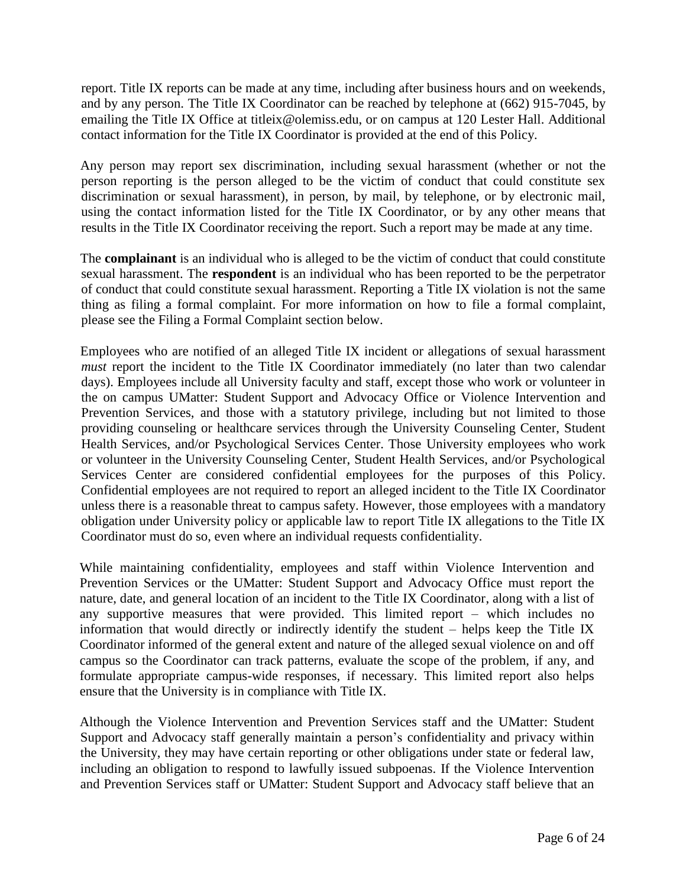report. Title IX reports can be made at any time, including after business hours and on weekends, and by any person. The Title IX Coordinator can be reached by telephone at (662) 915-7045, by emailing the Title IX Office at [titleix@olemiss.edu,](mailto:titleix@olemiss.edu) or on campus at 120 Lester Hall. Additional contact information for the Title IX Coordinator is provided at the end of this Policy.

Any person may report sex discrimination, including sexual harassment (whether or not the person reporting is the person alleged to be the victim of conduct that could constitute sex discrimination or sexual harassment), in person, by mail, by telephone, or by electronic mail, using the contact information listed for the Title IX Coordinator, or by any other means that results in the Title IX Coordinator receiving the report. Such a report may be made at any time.

The **complainant** is an individual who is alleged to be the victim of conduct that could constitute sexual harassment. The **respondent** is an individual who has been reported to be the perpetrator of conduct that could constitute sexual harassment. Reporting a Title IX violation is not the same thing as filing a formal complaint. For more information on how to file a formal complaint, please see the Filing a Formal Complaint section below.

Employees who are notified of an alleged Title IX incident or allegations of sexual harassment *must* report the incident to the Title IX Coordinator immediately (no later than two calendar days). Employees include all University faculty and staff, except those who work or volunteer in the on campus UMatter: Student Support and Advocacy Office or Violence Intervention and Prevention Services, and those with a statutory privilege, including but not limited to those providing counseling or healthcare services through the University Counseling Center, Student Health Services, and/or Psychological Services Center. Those University employees who work or volunteer in the University Counseling Center, Student Health Services, and/or Psychological Services Center are considered confidential employees for the purposes of this Policy. Confidential employees are not required to report an alleged incident to the Title IX Coordinator unless there is a reasonable threat to campus safety. However, those employees with a mandatory obligation under University policy or applicable law to report Title IX allegations to the Title IX Coordinator must do so, even where an individual requests confidentiality.

While maintaining confidentiality, employees and staff within Violence Intervention and Prevention Services or the UMatter: Student Support and Advocacy Office must report the nature, date, and general location of an incident to the Title IX Coordinator, along with a list of any supportive measures that were provided. This limited report – which includes no information that would directly or indirectly identify the student – helps keep the Title IX Coordinator informed of the general extent and nature of the alleged sexual violence on and off campus so the Coordinator can track patterns, evaluate the scope of the problem, if any, and formulate appropriate campus-wide responses, if necessary. This limited report also helps ensure that the University is in compliance with Title IX.

Although the Violence Intervention and Prevention Services staff and the UMatter: Student Support and Advocacy staff generally maintain a person's confidentiality and privacy within the University, they may have certain reporting or other obligations under state or federal law, including an obligation to respond to lawfully issued subpoenas. If the Violence Intervention and Prevention Services staff or UMatter: Student Support and Advocacy staff believe that an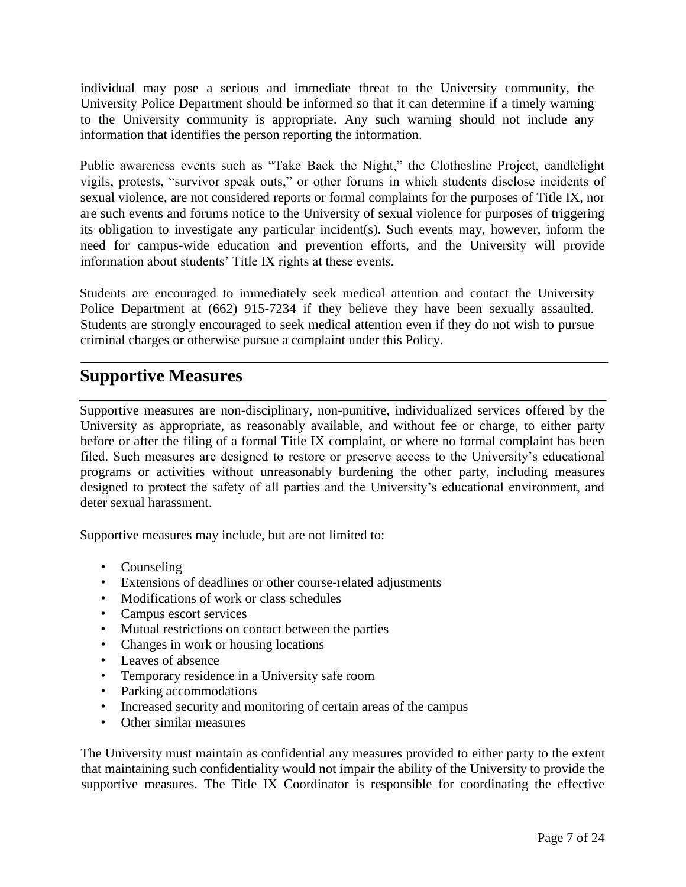individual may pose a serious and immediate threat to the University community, the University Police Department should be informed so that it can determine if a timely warning to the University community is appropriate. Any such warning should not include any information that identifies the person reporting the information.

Public awareness events such as "Take Back the Night," the Clothesline Project, candlelight vigils, protests, "survivor speak outs," or other forums in which students disclose incidents of sexual violence, are not considered reports or formal complaints for the purposes of Title IX, nor are such events and forums notice to the University of sexual violence for purposes of triggering its obligation to investigate any particular incident(s). Such events may, however, inform the need for campus-wide education and prevention efforts, and the University will provide information about students' Title IX rights at these events.

Students are encouraged to immediately seek medical attention and contact the University Police Department at (662) 915-7234 if they believe they have been sexually assaulted. Students are strongly encouraged to seek medical attention even if they do not wish to pursue criminal charges or otherwise pursue a complaint under this Policy.

### **Supportive Measures**

Supportive measures are non-disciplinary, non-punitive, individualized services offered by the University as appropriate, as reasonably available, and without fee or charge, to either party before or after the filing of a formal Title IX complaint, or where no formal complaint has been filed. Such measures are designed to restore or preserve access to the University's educational programs or activities without unreasonably burdening the other party, including measures designed to protect the safety of all parties and the University's educational environment, and deter sexual harassment.

Supportive measures may include, but are not limited to:

- Counseling
- Extensions of deadlines or other course-related adjustments
- Modifications of work or class schedules
- Campus escort services
- Mutual restrictions on contact between the parties
- Changes in work or housing locations
- Leaves of absence
- Temporary residence in a University safe room
- Parking accommodations
- Increased security and monitoring of certain areas of the campus
- Other similar measures

The University must maintain as confidential any measures provided to either party to the extent that maintaining such confidentiality would not impair the ability of the University to provide the supportive measures. The Title IX Coordinator is responsible for coordinating the effective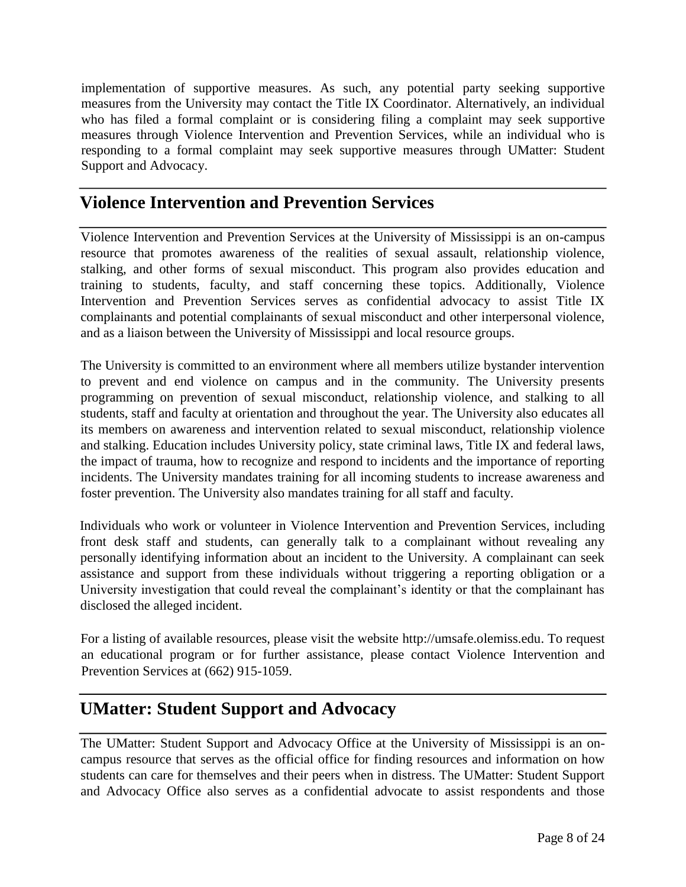implementation of supportive measures. As such, any potential party seeking supportive measures from the University may contact the Title IX Coordinator. Alternatively, an individual who has filed a formal complaint or is considering filing a complaint may seek supportive measures through Violence Intervention and Prevention Services, while an individual who is responding to a formal complaint may seek supportive measures through UMatter: Student Support and Advocacy.

## **Violence Intervention and Prevention Services**

Violence Intervention and Prevention Services at the University of Mississippi is an on-campus resource that promotes awareness of the realities of sexual assault, relationship violence, stalking, and other forms of sexual misconduct. This program also provides education and training to students, faculty, and staff concerning these topics. Additionally, Violence Intervention and Prevention Services serves as confidential advocacy to assist Title IX complainants and potential complainants of sexual misconduct and other interpersonal violence, and as a liaison between the University of Mississippi and local resource groups.

The University is committed to an environment where all members utilize bystander intervention to prevent and end violence on campus and in the community. The University presents programming on prevention of sexual misconduct, relationship violence, and stalking to all students, staff and faculty at orientation and throughout the year. The University also educates all its members on awareness and intervention related to sexual misconduct, relationship violence and stalking. Education includes University policy, state criminal laws, Title IX and federal laws, the impact of trauma, how to recognize and respond to incidents and the importance of reporting incidents. The University mandates training for all incoming students to increase awareness and foster prevention. The University also mandates training for all staff and faculty.

Individuals who work or volunteer in Violence Intervention and Prevention Services, including front desk staff and students, can generally talk to a complainant without revealing any personally identifying information about an incident to the University. A complainant can seek assistance and support from these individuals without triggering a reporting obligation or a University investigation that could reveal the complainant's identity or that the complainant has disclosed the alleged incident.

For a listing of available resources, please visit the website [http://umsafe.olemiss.edu.](http://umsafe.olemiss.edu/) To request an educational program or for further assistance, please contact Violence Intervention and Prevention Services at (662) 915-1059.

## **UMatter: Student Support and Advocacy**

The UMatter: Student Support and Advocacy Office at the University of Mississippi is an oncampus resource that serves as the official office for finding resources and information on how students can care for themselves and their peers when in distress. The UMatter: Student Support and Advocacy Office also serves as a confidential advocate to assist respondents and those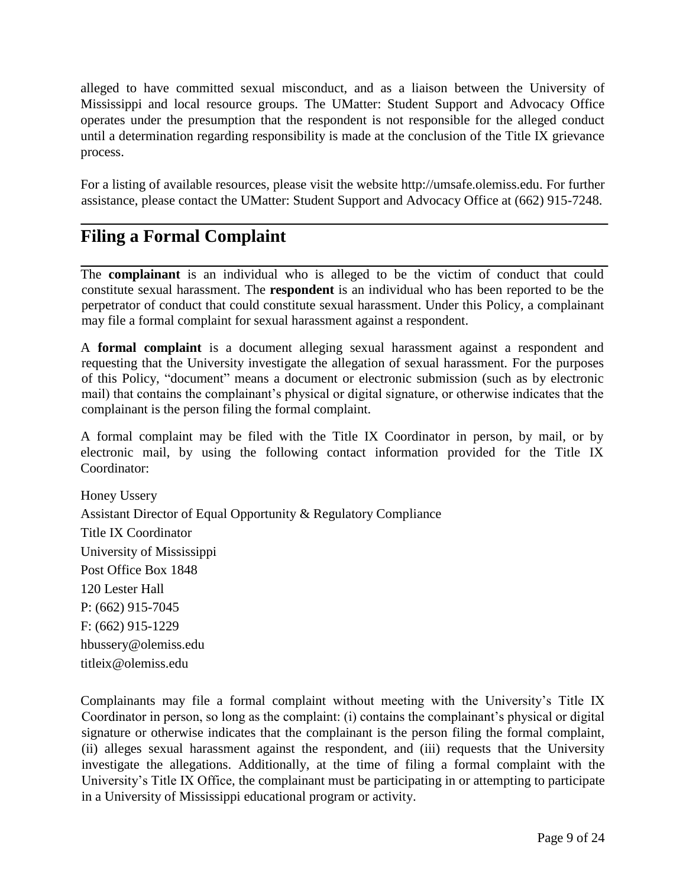alleged to have committed sexual misconduct, and as a liaison between the University of Mississippi and local resource groups. The UMatter: Student Support and Advocacy Office operates under the presumption that the respondent is not responsible for the alleged conduct until a determination regarding responsibility is made at the conclusion of the Title IX grievance process.

For a listing of available resources, please visit the website [http://umsafe.olemiss.edu.](http://umsafe.olemiss.edu/) For further assistance, please contact the UMatter: Student Support and Advocacy Office at (662) 915-7248.

# **Filing a Formal Complaint**

The **complainant** is an individual who is alleged to be the victim of conduct that could constitute sexual harassment. The **respondent** is an individual who has been reported to be the perpetrator of conduct that could constitute sexual harassment. Under this Policy, a complainant may file a formal complaint for sexual harassment against a respondent.

A **formal complaint** is a document alleging sexual harassment against a respondent and requesting that the University investigate the allegation of sexual harassment. For the purposes of this Policy, "document" means a document or electronic submission (such as by electronic mail) that contains the complainant's physical or digital signature, or otherwise indicates that the complainant is the person filing the formal complaint.

A formal complaint may be filed with the Title IX Coordinator in person, by mail, or by electronic mail, by using the following contact information provided for the Title IX Coordinator:

Honey Ussery Assistant Director of Equal Opportunity & Regulatory Compliance Title IX Coordinator University of Mississippi Post Office Box 1848 120 Lester Hall P: (662) 915-7045 F: (662) 915-1229 hbussery@olemiss.edu [titleix@olemiss.edu](mailto:titleix@olemiss.edu)

Complainants may file a formal complaint without meeting with the University's Title IX Coordinator in person, so long as the complaint: (i) contains the complainant's physical or digital signature or otherwise indicates that the complainant is the person filing the formal complaint, (ii) alleges sexual harassment against the respondent, and (iii) requests that the University investigate the allegations. Additionally, at the time of filing a formal complaint with the University's Title IX Office, the complainant must be participating in or attempting to participate in a University of Mississippi educational program or activity.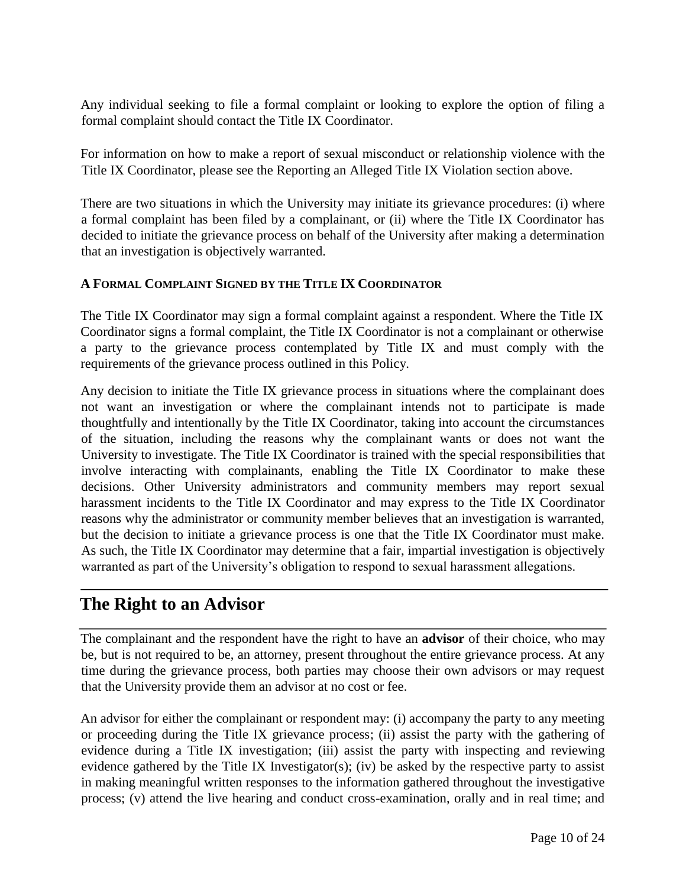Any individual seeking to file a formal complaint or looking to explore the option of filing a formal complaint should contact the Title IX Coordinator.

For information on how to make a report of sexual misconduct or relationship violence with the Title IX Coordinator, please see the Reporting an Alleged Title IX Violation section above.

There are two situations in which the University may initiate its grievance procedures: (i) where a formal complaint has been filed by a complainant, or (ii) where the Title IX Coordinator has decided to initiate the grievance process on behalf of the University after making a determination that an investigation is objectively warranted.

### **A FORMAL COMPLAINT SIGNED BY THE TITLE IX COORDINATOR**

The Title IX Coordinator may sign a formal complaint against a respondent. Where the Title IX Coordinator signs a formal complaint, the Title IX Coordinator is not a complainant or otherwise a party to the grievance process contemplated by Title IX and must comply with the requirements of the grievance process outlined in this Policy.

Any decision to initiate the Title IX grievance process in situations where the complainant does not want an investigation or where the complainant intends not to participate is made thoughtfully and intentionally by the Title IX Coordinator, taking into account the circumstances of the situation, including the reasons why the complainant wants or does not want the University to investigate. The Title IX Coordinator is trained with the special responsibilities that involve interacting with complainants, enabling the Title IX Coordinator to make these decisions. Other University administrators and community members may report sexual harassment incidents to the Title IX Coordinator and may express to the Title IX Coordinator reasons why the administrator or community member believes that an investigation is warranted, but the decision to initiate a grievance process is one that the Title IX Coordinator must make. As such, the Title IX Coordinator may determine that a fair, impartial investigation is objectively warranted as part of the University's obligation to respond to sexual harassment allegations.

# **The Right to an Advisor**

The complainant and the respondent have the right to have an **advisor** of their choice, who may be, but is not required to be, an attorney, present throughout the entire grievance process. At any time during the grievance process, both parties may choose their own advisors or may request that the University provide them an advisor at no cost or fee.

An advisor for either the complainant or respondent may: (i) accompany the party to any meeting or proceeding during the Title IX grievance process; (ii) assist the party with the gathering of evidence during a Title IX investigation; (iii) assist the party with inspecting and reviewing evidence gathered by the Title IX Investigator(s); (iv) be asked by the respective party to assist in making meaningful written responses to the information gathered throughout the investigative process; (v) attend the live hearing and conduct cross-examination, orally and in real time; and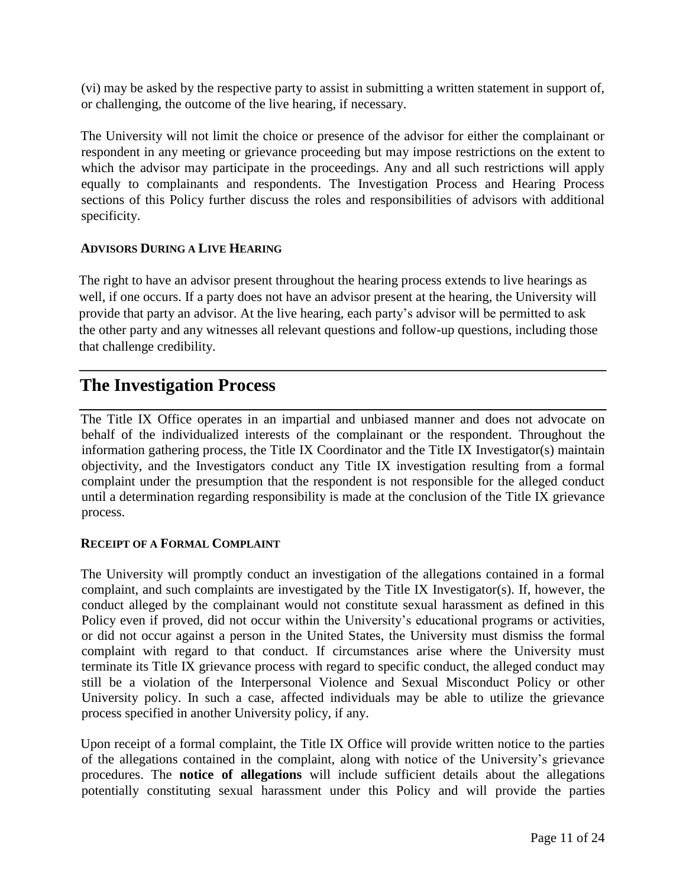(vi) may be asked by the respective party to assist in submitting a written statement in support of, or challenging, the outcome of the live hearing, if necessary.

The University will not limit the choice or presence of the advisor for either the complainant or respondent in any meeting or grievance proceeding but may impose restrictions on the extent to which the advisor may participate in the proceedings. Any and all such restrictions will apply equally to complainants and respondents. The Investigation Process and Hearing Process sections of this Policy further discuss the roles and responsibilities of advisors with additional specificity.

#### **ADVISORS DURING A LIVE HEARING**

The right to have an advisor present throughout the hearing process extends to live hearings as well, if one occurs. If a party does not have an advisor present at the hearing, the University will provide that party an advisor. At the live hearing, each party's advisor will be permitted to ask the other party and any witnesses all relevant questions and follow-up questions, including those that challenge credibility.

### **The Investigation Process**

The Title IX Office operates in an impartial and unbiased manner and does not advocate on behalf of the individualized interests of the complainant or the respondent. Throughout the information gathering process, the Title IX Coordinator and the Title IX Investigator(s) maintain objectivity, and the Investigators conduct any Title IX investigation resulting from a formal complaint under the presumption that the respondent is not responsible for the alleged conduct until a determination regarding responsibility is made at the conclusion of the Title IX grievance process.

### **RECEIPT OF A FORMAL COMPLAINT**

The University will promptly conduct an investigation of the allegations contained in a formal complaint, and such complaints are investigated by the Title IX Investigator(s). If, however, the conduct alleged by the complainant would not constitute sexual harassment as defined in this Policy even if proved, did not occur within the University's educational programs or activities, or did not occur against a person in the United States, the University must dismiss the formal complaint with regard to that conduct. If circumstances arise where the University must terminate its Title IX grievance process with regard to specific conduct, the alleged conduct may still be a violation of the Interpersonal Violence and Sexual Misconduct Policy or other University policy. In such a case, affected individuals may be able to utilize the grievance process specified in another University policy, if any.

Upon receipt of a formal complaint, the Title IX Office will provide written notice to the parties of the allegations contained in the complaint, along with notice of the University's grievance procedures. The **notice of allegations** will include sufficient details about the allegations potentially constituting sexual harassment under this Policy and will provide the parties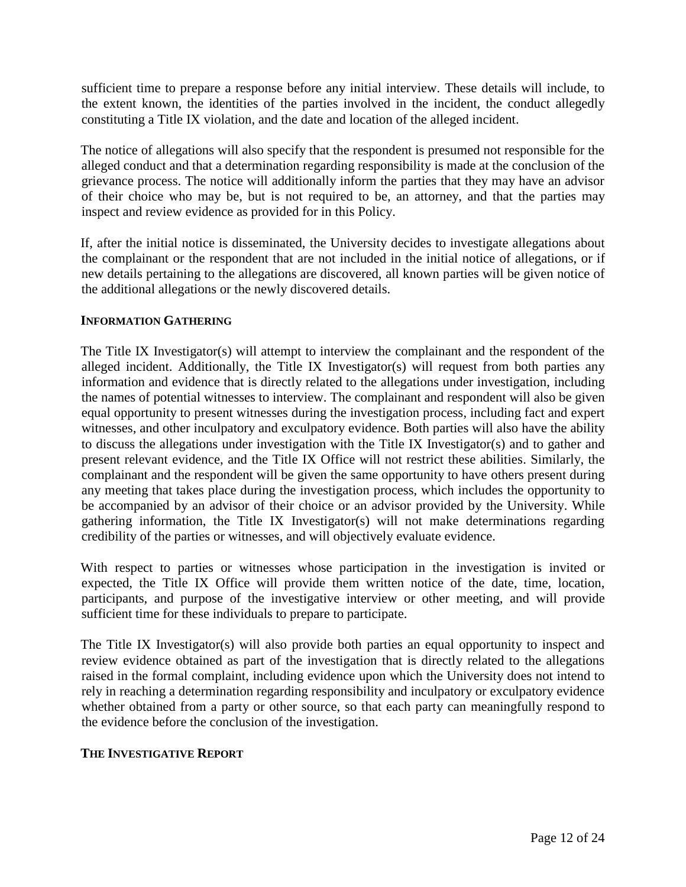sufficient time to prepare a response before any initial interview. These details will include, to the extent known, the identities of the parties involved in the incident, the conduct allegedly constituting a Title IX violation, and the date and location of the alleged incident.

The notice of allegations will also specify that the respondent is presumed not responsible for the alleged conduct and that a determination regarding responsibility is made at the conclusion of the grievance process. The notice will additionally inform the parties that they may have an advisor of their choice who may be, but is not required to be, an attorney, and that the parties may inspect and review evidence as provided for in this Policy.

If, after the initial notice is disseminated, the University decides to investigate allegations about the complainant or the respondent that are not included in the initial notice of allegations, or if new details pertaining to the allegations are discovered, all known parties will be given notice of the additional allegations or the newly discovered details.

#### **INFORMATION GATHERING**

The Title IX Investigator(s) will attempt to interview the complainant and the respondent of the alleged incident. Additionally, the Title IX Investigator(s) will request from both parties any information and evidence that is directly related to the allegations under investigation, including the names of potential witnesses to interview. The complainant and respondent will also be given equal opportunity to present witnesses during the investigation process, including fact and expert witnesses, and other inculpatory and exculpatory evidence. Both parties will also have the ability to discuss the allegations under investigation with the Title IX Investigator(s) and to gather and present relevant evidence, and the Title IX Office will not restrict these abilities. Similarly, the complainant and the respondent will be given the same opportunity to have others present during any meeting that takes place during the investigation process, which includes the opportunity to be accompanied by an advisor of their choice or an advisor provided by the University. While gathering information, the Title IX Investigator(s) will not make determinations regarding credibility of the parties or witnesses, and will objectively evaluate evidence.

With respect to parties or witnesses whose participation in the investigation is invited or expected, the Title IX Office will provide them written notice of the date, time, location, participants, and purpose of the investigative interview or other meeting, and will provide sufficient time for these individuals to prepare to participate.

The Title IX Investigator(s) will also provide both parties an equal opportunity to inspect and review evidence obtained as part of the investigation that is directly related to the allegations raised in the formal complaint, including evidence upon which the University does not intend to rely in reaching a determination regarding responsibility and inculpatory or exculpatory evidence whether obtained from a party or other source, so that each party can meaningfully respond to the evidence before the conclusion of the investigation.

#### **THE INVESTIGATIVE REPORT**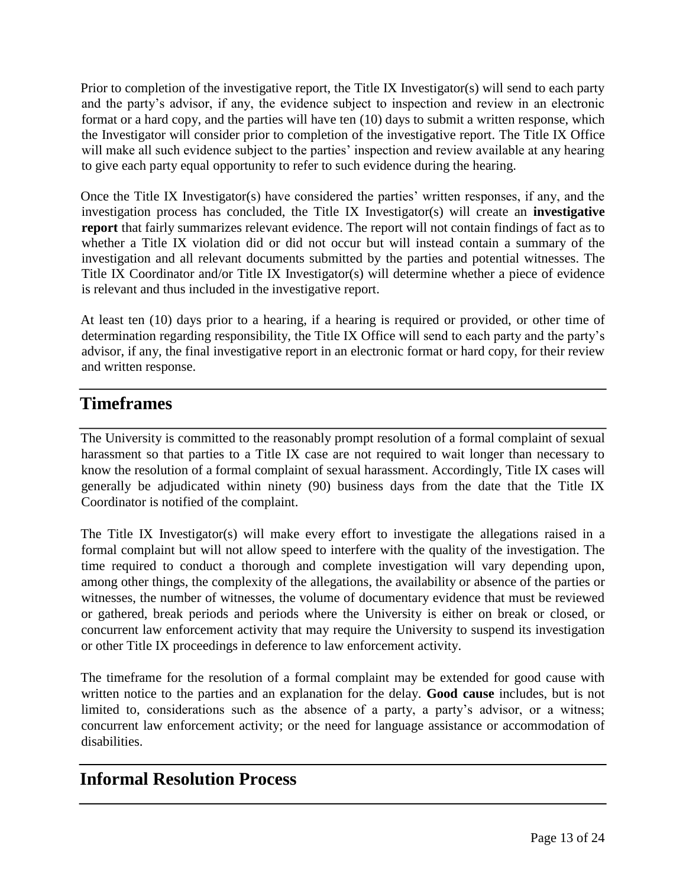Prior to completion of the investigative report, the Title IX Investigator(s) will send to each party and the party's advisor, if any, the evidence subject to inspection and review in an electronic format or a hard copy, and the parties will have ten (10) days to submit a written response, which the Investigator will consider prior to completion of the investigative report. The Title IX Office will make all such evidence subject to the parties' inspection and review available at any hearing to give each party equal opportunity to refer to such evidence during the hearing.

Once the Title IX Investigator(s) have considered the parties' written responses, if any, and the investigation process has concluded, the Title IX Investigator(s) will create an **investigative report** that fairly summarizes relevant evidence. The report will not contain findings of fact as to whether a Title IX violation did or did not occur but will instead contain a summary of the investigation and all relevant documents submitted by the parties and potential witnesses. The Title IX Coordinator and/or Title IX Investigator(s) will determine whether a piece of evidence is relevant and thus included in the investigative report.

At least ten (10) days prior to a hearing, if a hearing is required or provided, or other time of determination regarding responsibility, the Title IX Office will send to each party and the party's advisor, if any, the final investigative report in an electronic format or hard copy, for their review and written response.

# **Timeframes**

The University is committed to the reasonably prompt resolution of a formal complaint of sexual harassment so that parties to a Title IX case are not required to wait longer than necessary to know the resolution of a formal complaint of sexual harassment. Accordingly, Title IX cases will generally be adjudicated within ninety (90) business days from the date that the Title IX Coordinator is notified of the complaint.

The Title IX Investigator(s) will make every effort to investigate the allegations raised in a formal complaint but will not allow speed to interfere with the quality of the investigation. The time required to conduct a thorough and complete investigation will vary depending upon, among other things, the complexity of the allegations, the availability or absence of the parties or witnesses, the number of witnesses, the volume of documentary evidence that must be reviewed or gathered, break periods and periods where the University is either on break or closed, or concurrent law enforcement activity that may require the University to suspend its investigation or other Title IX proceedings in deference to law enforcement activity.

The timeframe for the resolution of a formal complaint may be extended for good cause with written notice to the parties and an explanation for the delay. **Good cause** includes, but is not limited to, considerations such as the absence of a party, a party's advisor, or a witness; concurrent law enforcement activity; or the need for language assistance or accommodation of disabilities.

## **Informal Resolution Process**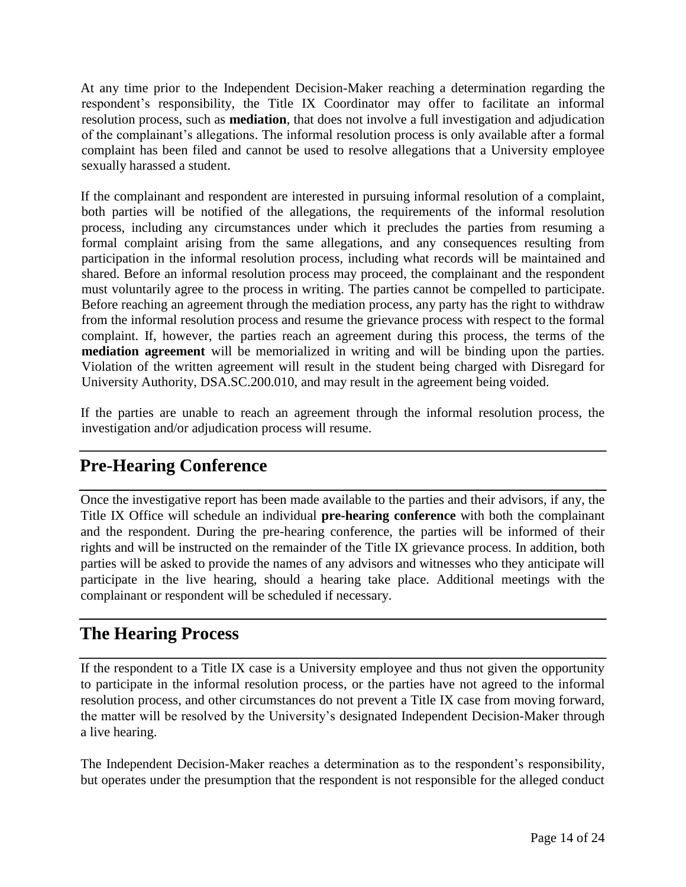At any time prior to the Independent Decision-Maker reaching a determination regarding the respondent's responsibility, the Title IX Coordinator may offer to facilitate an informal resolution process, such as **mediation**, that does not involve a full investigation and adjudication of the complainant's allegations. The informal resolution process is only available after a formal complaint has been filed and cannot be used to resolve allegations that a University employee sexually harassed a student.

If the complainant and respondent are interested in pursuing informal resolution of a complaint, both parties will be notified of the allegations, the requirements of the informal resolution process, including any circumstances under which it precludes the parties from resuming a formal complaint arising from the same allegations, and any consequences resulting from participation in the informal resolution process, including what records will be maintained and shared. Before an informal resolution process may proceed, the complainant and the respondent must voluntarily agree to the process in writing. The parties cannot be compelled to participate. Before reaching an agreement through the mediation process, any party has the right to withdraw from the informal resolution process and resume the grievance process with respect to the formal complaint. If, however, the parties reach an agreement during this process, the terms of the **mediation agreement** will be memorialized in writing and will be binding upon the parties. Violation of the written agreement will result in the student being charged with Disregard for University Authority, DSA.SC.200.010, and may result in the agreement being voided.

If the parties are unable to reach an agreement through the informal resolution process, the investigation and/or adjudication process will resume.

# **Pre-Hearing Conference**

Once the investigative report has been made available to the parties and their advisors, if any, the Title IX Office will schedule an individual **pre-hearing conference** with both the complainant and the respondent. During the pre-hearing conference, the parties will be informed of their rights and will be instructed on the remainder of the Title IX grievance process. In addition, both parties will be asked to provide the names of any advisors and witnesses who they anticipate will participate in the live hearing, should a hearing take place. Additional meetings with the complainant or respondent will be scheduled if necessary.

## **The Hearing Process**

If the respondent to a Title IX case is a University employee and thus not given the opportunity to participate in the informal resolution process, or the parties have not agreed to the informal resolution process, and other circumstances do not prevent a Title IX case from moving forward, the matter will be resolved by the University's designated Independent Decision-Maker through a live hearing.

The Independent Decision-Maker reaches a determination as to the respondent's responsibility, but operates under the presumption that the respondent is not responsible for the alleged conduct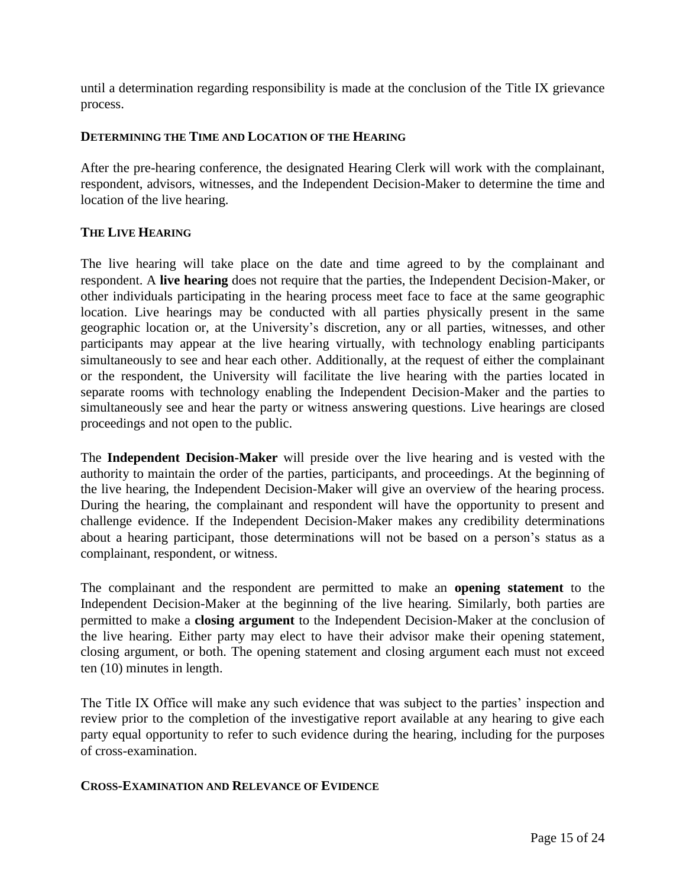until a determination regarding responsibility is made at the conclusion of the Title IX grievance process.

#### **DETERMINING THE TIME AND LOCATION OF THE HEARING**

After the pre-hearing conference, the designated Hearing Clerk will work with the complainant, respondent, advisors, witnesses, and the Independent Decision-Maker to determine the time and location of the live hearing.

#### **THE LIVE HEARING**

The live hearing will take place on the date and time agreed to by the complainant and respondent. A **live hearing** does not require that the parties, the Independent Decision-Maker, or other individuals participating in the hearing process meet face to face at the same geographic location. Live hearings may be conducted with all parties physically present in the same geographic location or, at the University's discretion, any or all parties, witnesses, and other participants may appear at the live hearing virtually, with technology enabling participants simultaneously to see and hear each other. Additionally, at the request of either the complainant or the respondent, the University will facilitate the live hearing with the parties located in separate rooms with technology enabling the Independent Decision-Maker and the parties to simultaneously see and hear the party or witness answering questions. Live hearings are closed proceedings and not open to the public.

The **Independent Decision-Maker** will preside over the live hearing and is vested with the authority to maintain the order of the parties, participants, and proceedings. At the beginning of the live hearing, the Independent Decision-Maker will give an overview of the hearing process. During the hearing, the complainant and respondent will have the opportunity to present and challenge evidence. If the Independent Decision-Maker makes any credibility determinations about a hearing participant, those determinations will not be based on a person's status as a complainant, respondent, or witness.

The complainant and the respondent are permitted to make an **opening statement** to the Independent Decision-Maker at the beginning of the live hearing. Similarly, both parties are permitted to make a **closing argument** to the Independent Decision-Maker at the conclusion of the live hearing. Either party may elect to have their advisor make their opening statement, closing argument, or both. The opening statement and closing argument each must not exceed ten (10) minutes in length.

The Title IX Office will make any such evidence that was subject to the parties' inspection and review prior to the completion of the investigative report available at any hearing to give each party equal opportunity to refer to such evidence during the hearing, including for the purposes of cross-examination.

#### **CROSS-EXAMINATION AND RELEVANCE OF EVIDENCE**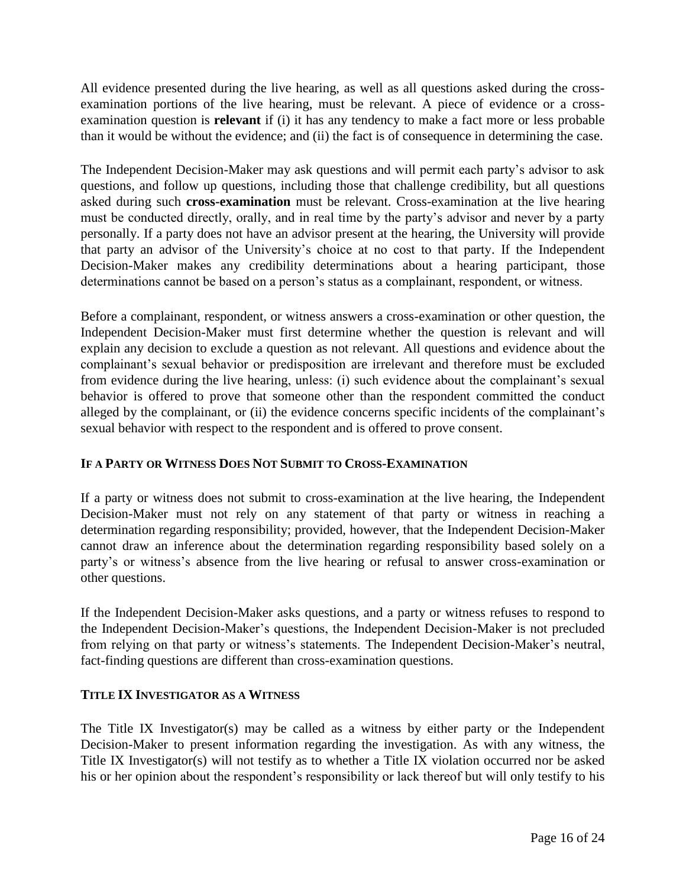All evidence presented during the live hearing, as well as all questions asked during the crossexamination portions of the live hearing, must be relevant. A piece of evidence or a crossexamination question is **relevant** if (i) it has any tendency to make a fact more or less probable than it would be without the evidence; and (ii) the fact is of consequence in determining the case.

The Independent Decision-Maker may ask questions and will permit each party's advisor to ask questions, and follow up questions, including those that challenge credibility, but all questions asked during such **cross-examination** must be relevant. Cross-examination at the live hearing must be conducted directly, orally, and in real time by the party's advisor and never by a party personally. If a party does not have an advisor present at the hearing, the University will provide that party an advisor of the University's choice at no cost to that party. If the Independent Decision-Maker makes any credibility determinations about a hearing participant, those determinations cannot be based on a person's status as a complainant, respondent, or witness.

Before a complainant, respondent, or witness answers a cross-examination or other question, the Independent Decision-Maker must first determine whether the question is relevant and will explain any decision to exclude a question as not relevant. All questions and evidence about the complainant's sexual behavior or predisposition are irrelevant and therefore must be excluded from evidence during the live hearing, unless: (i) such evidence about the complainant's sexual behavior is offered to prove that someone other than the respondent committed the conduct alleged by the complainant, or (ii) the evidence concerns specific incidents of the complainant's sexual behavior with respect to the respondent and is offered to prove consent.

### **IF A PARTY OR WITNESS DOES NOT SUBMIT TO CROSS-EXAMINATION**

If a party or witness does not submit to cross-examination at the live hearing, the Independent Decision-Maker must not rely on any statement of that party or witness in reaching a determination regarding responsibility; provided, however, that the Independent Decision-Maker cannot draw an inference about the determination regarding responsibility based solely on a party's or witness's absence from the live hearing or refusal to answer cross-examination or other questions.

If the Independent Decision-Maker asks questions, and a party or witness refuses to respond to the Independent Decision-Maker's questions, the Independent Decision-Maker is not precluded from relying on that party or witness's statements. The Independent Decision-Maker's neutral, fact-finding questions are different than cross-examination questions.

### **TITLE IX INVESTIGATOR AS A WITNESS**

The Title IX Investigator(s) may be called as a witness by either party or the Independent Decision-Maker to present information regarding the investigation. As with any witness, the Title IX Investigator(s) will not testify as to whether a Title IX violation occurred nor be asked his or her opinion about the respondent's responsibility or lack thereof but will only testify to his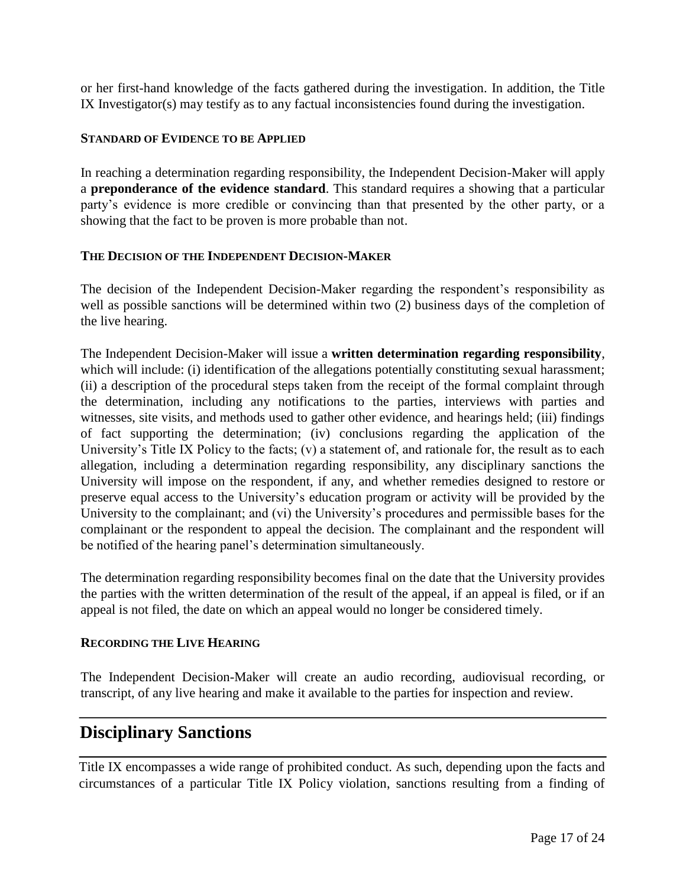or her first-hand knowledge of the facts gathered during the investigation. In addition, the Title IX Investigator(s) may testify as to any factual inconsistencies found during the investigation.

#### **STANDARD OF EVIDENCE TO BE APPLIED**

In reaching a determination regarding responsibility, the Independent Decision-Maker will apply a **preponderance of the evidence standard**. This standard requires a showing that a particular party's evidence is more credible or convincing than that presented by the other party, or a showing that the fact to be proven is more probable than not.

#### **THE DECISION OF THE INDEPENDENT DECISION-MAKER**

The decision of the Independent Decision-Maker regarding the respondent's responsibility as well as possible sanctions will be determined within two (2) business days of the completion of the live hearing.

The Independent Decision-Maker will issue a **written determination regarding responsibility**, which will include: (i) identification of the allegations potentially constituting sexual harassment; (ii) a description of the procedural steps taken from the receipt of the formal complaint through the determination, including any notifications to the parties, interviews with parties and witnesses, site visits, and methods used to gather other evidence, and hearings held; (iii) findings of fact supporting the determination; (iv) conclusions regarding the application of the University's Title IX Policy to the facts; (v) a statement of, and rationale for, the result as to each allegation, including a determination regarding responsibility, any disciplinary sanctions the University will impose on the respondent, if any, and whether remedies designed to restore or preserve equal access to the University's education program or activity will be provided by the University to the complainant; and (vi) the University's procedures and permissible bases for the complainant or the respondent to appeal the decision. The complainant and the respondent will be notified of the hearing panel's determination simultaneously.

The determination regarding responsibility becomes final on the date that the University provides the parties with the written determination of the result of the appeal, if an appeal is filed, or if an appeal is not filed, the date on which an appeal would no longer be considered timely.

#### **RECORDING THE LIVE HEARING**

The Independent Decision-Maker will create an audio recording, audiovisual recording, or transcript, of any live hearing and make it available to the parties for inspection and review.

### **Disciplinary Sanctions**

Title IX encompasses a wide range of prohibited conduct. As such, depending upon the facts and circumstances of a particular Title IX Policy violation, sanctions resulting from a finding of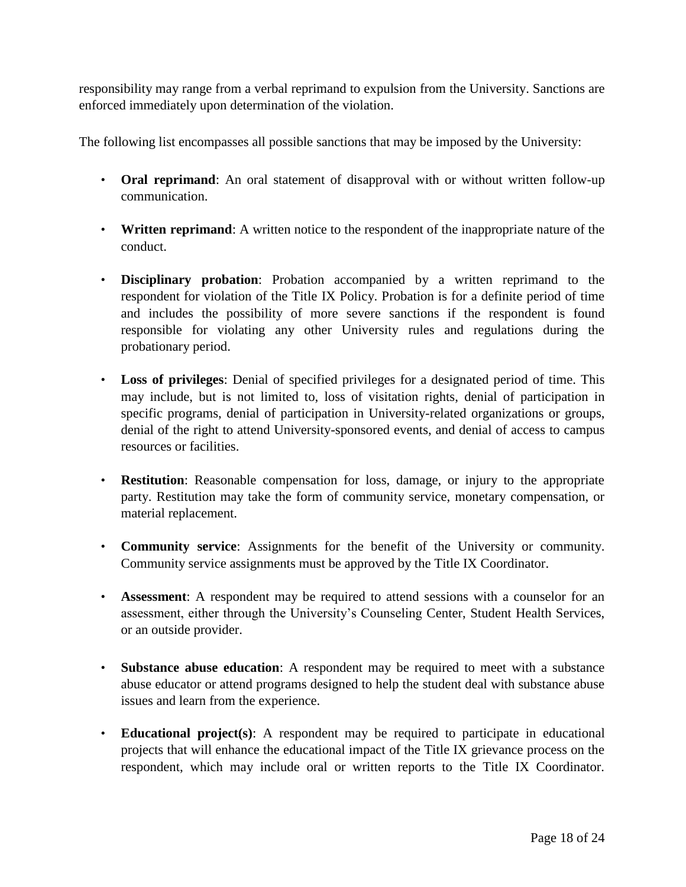responsibility may range from a verbal reprimand to expulsion from the University. Sanctions are enforced immediately upon determination of the violation.

The following list encompasses all possible sanctions that may be imposed by the University:

- **Oral reprimand**: An oral statement of disapproval with or without written follow-up communication.
- **Written reprimand**: A written notice to the respondent of the inappropriate nature of the conduct.
- **Disciplinary probation**: Probation accompanied by a written reprimand to the respondent for violation of the Title IX Policy. Probation is for a definite period of time and includes the possibility of more severe sanctions if the respondent is found responsible for violating any other University rules and regulations during the probationary period.
- **Loss of privileges**: Denial of specified privileges for a designated period of time. This may include, but is not limited to, loss of visitation rights, denial of participation in specific programs, denial of participation in University-related organizations or groups, denial of the right to attend University-sponsored events, and denial of access to campus resources or facilities.
- **Restitution**: Reasonable compensation for loss, damage, or injury to the appropriate party. Restitution may take the form of community service, monetary compensation, or material replacement.
- **Community service**: Assignments for the benefit of the University or community. Community service assignments must be approved by the Title IX Coordinator.
- **Assessment**: A respondent may be required to attend sessions with a counselor for an assessment, either through the University's Counseling Center, Student Health Services, or an outside provider.
- **Substance abuse education**: A respondent may be required to meet with a substance abuse educator or attend programs designed to help the student deal with substance abuse issues and learn from the experience.
- **Educational project(s)**: A respondent may be required to participate in educational projects that will enhance the educational impact of the Title IX grievance process on the respondent, which may include oral or written reports to the Title IX Coordinator.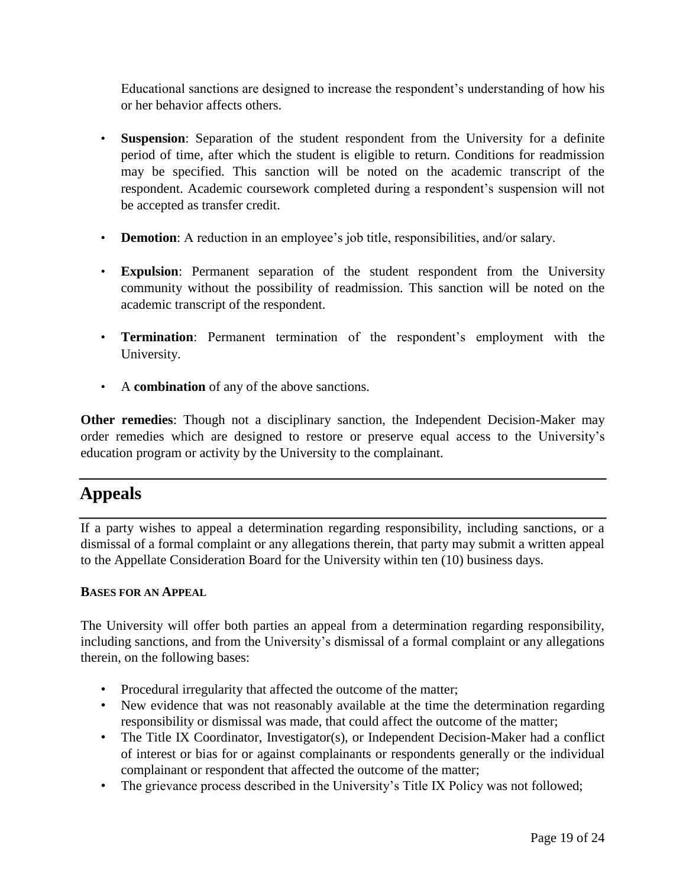Educational sanctions are designed to increase the respondent's understanding of how his or her behavior affects others.

- Suspension: Separation of the student respondent from the University for a definite period of time, after which the student is eligible to return. Conditions for readmission may be specified. This sanction will be noted on the academic transcript of the respondent. Academic coursework completed during a respondent's suspension will not be accepted as transfer credit.
- **Demotion**: A reduction in an employee's job title, responsibilities, and/or salary.
- **Expulsion**: Permanent separation of the student respondent from the University community without the possibility of readmission. This sanction will be noted on the academic transcript of the respondent.
- **Termination**: Permanent termination of the respondent's employment with the University.
- A **combination** of any of the above sanctions.

**Other remedies**: Though not a disciplinary sanction, the Independent Decision-Maker may order remedies which are designed to restore or preserve equal access to the University's education program or activity by the University to the complainant.

# **Appeals**

If a party wishes to appeal a determination regarding responsibility, including sanctions, or a dismissal of a formal complaint or any allegations therein, that party may submit a written appeal to the Appellate Consideration Board for the University within ten (10) business days.

#### **BASES FOR AN APPEAL**

The University will offer both parties an appeal from a determination regarding responsibility, including sanctions, and from the University's dismissal of a formal complaint or any allegations therein, on the following bases:

- Procedural irregularity that affected the outcome of the matter;
- New evidence that was not reasonably available at the time the determination regarding responsibility or dismissal was made, that could affect the outcome of the matter;
- The Title IX Coordinator, Investigator(s), or Independent Decision-Maker had a conflict of interest or bias for or against complainants or respondents generally or the individual complainant or respondent that affected the outcome of the matter;
- The grievance process described in the University's Title IX Policy was not followed;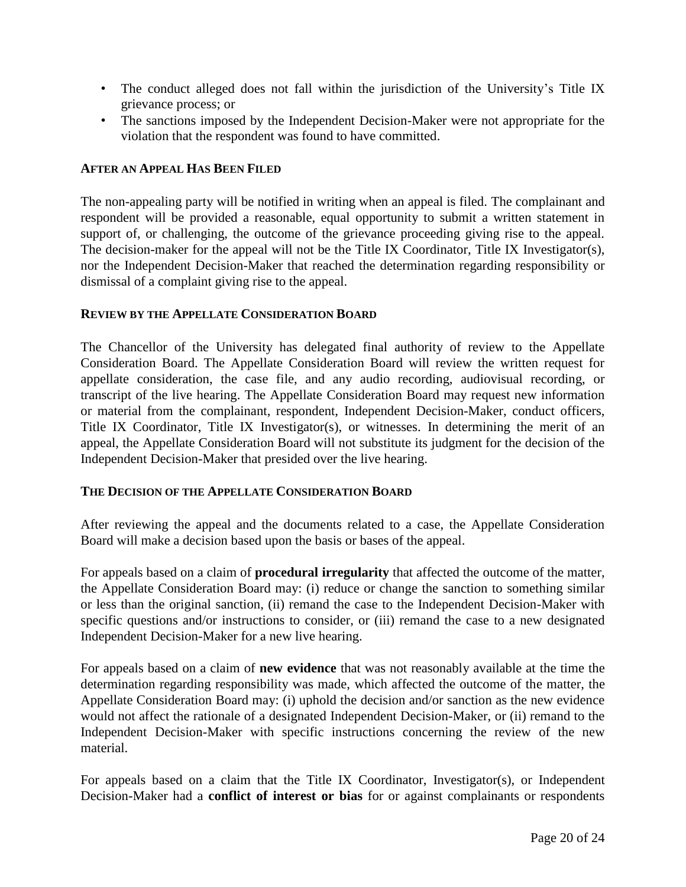- The conduct alleged does not fall within the jurisdiction of the University's Title IX grievance process; or
- The sanctions imposed by the Independent Decision-Maker were not appropriate for the violation that the respondent was found to have committed.

### **AFTER AN APPEAL HAS BEEN FILED**

The non-appealing party will be notified in writing when an appeal is filed. The complainant and respondent will be provided a reasonable, equal opportunity to submit a written statement in support of, or challenging, the outcome of the grievance proceeding giving rise to the appeal. The decision-maker for the appeal will not be the Title IX Coordinator, Title IX Investigator(s), nor the Independent Decision-Maker that reached the determination regarding responsibility or dismissal of a complaint giving rise to the appeal.

### **REVIEW BY THE APPELLATE CONSIDERATION BOARD**

The Chancellor of the University has delegated final authority of review to the Appellate Consideration Board. The Appellate Consideration Board will review the written request for appellate consideration, the case file, and any audio recording, audiovisual recording, or transcript of the live hearing. The Appellate Consideration Board may request new information or material from the complainant, respondent, Independent Decision-Maker, conduct officers, Title IX Coordinator, Title IX Investigator(s), or witnesses. In determining the merit of an appeal, the Appellate Consideration Board will not substitute its judgment for the decision of the Independent Decision-Maker that presided over the live hearing.

### **THE DECISION OF THE APPELLATE CONSIDERATION BOARD**

After reviewing the appeal and the documents related to a case, the Appellate Consideration Board will make a decision based upon the basis or bases of the appeal.

For appeals based on a claim of **procedural irregularity** that affected the outcome of the matter, the Appellate Consideration Board may: (i) reduce or change the sanction to something similar or less than the original sanction, (ii) remand the case to the Independent Decision-Maker with specific questions and/or instructions to consider, or (iii) remand the case to a new designated Independent Decision-Maker for a new live hearing.

For appeals based on a claim of **new evidence** that was not reasonably available at the time the determination regarding responsibility was made, which affected the outcome of the matter, the Appellate Consideration Board may: (i) uphold the decision and/or sanction as the new evidence would not affect the rationale of a designated Independent Decision-Maker, or (ii) remand to the Independent Decision-Maker with specific instructions concerning the review of the new material.

For appeals based on a claim that the Title IX Coordinator, Investigator(s), or Independent Decision-Maker had a **conflict of interest or bias** for or against complainants or respondents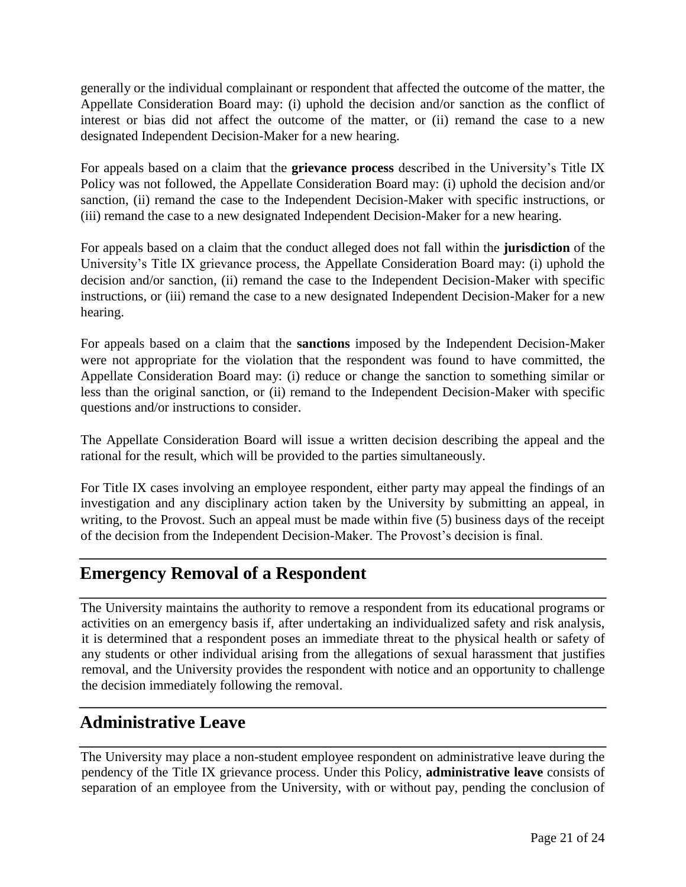generally or the individual complainant or respondent that affected the outcome of the matter, the Appellate Consideration Board may: (i) uphold the decision and/or sanction as the conflict of interest or bias did not affect the outcome of the matter, or (ii) remand the case to a new designated Independent Decision-Maker for a new hearing.

For appeals based on a claim that the **grievance process** described in the University's Title IX Policy was not followed, the Appellate Consideration Board may: (i) uphold the decision and/or sanction, (ii) remand the case to the Independent Decision-Maker with specific instructions, or (iii) remand the case to a new designated Independent Decision-Maker for a new hearing.

For appeals based on a claim that the conduct alleged does not fall within the **jurisdiction** of the University's Title IX grievance process, the Appellate Consideration Board may: (i) uphold the decision and/or sanction, (ii) remand the case to the Independent Decision-Maker with specific instructions, or (iii) remand the case to a new designated Independent Decision-Maker for a new hearing.

For appeals based on a claim that the **sanctions** imposed by the Independent Decision-Maker were not appropriate for the violation that the respondent was found to have committed, the Appellate Consideration Board may: (i) reduce or change the sanction to something similar or less than the original sanction, or (ii) remand to the Independent Decision-Maker with specific questions and/or instructions to consider.

The Appellate Consideration Board will issue a written decision describing the appeal and the rational for the result, which will be provided to the parties simultaneously.

For Title IX cases involving an employee respondent, either party may appeal the findings of an investigation and any disciplinary action taken by the University by submitting an appeal, in writing, to the Provost. Such an appeal must be made within five (5) business days of the receipt of the decision from the Independent Decision-Maker. The Provost's decision is final.

## **Emergency Removal of a Respondent**

The University maintains the authority to remove a respondent from its educational programs or activities on an emergency basis if, after undertaking an individualized safety and risk analysis, it is determined that a respondent poses an immediate threat to the physical health or safety of any students or other individual arising from the allegations of sexual harassment that justifies removal, and the University provides the respondent with notice and an opportunity to challenge the decision immediately following the removal.

# **Administrative Leave**

The University may place a non-student employee respondent on administrative leave during the pendency of the Title IX grievance process. Under this Policy, **administrative leave** consists of separation of an employee from the University, with or without pay, pending the conclusion of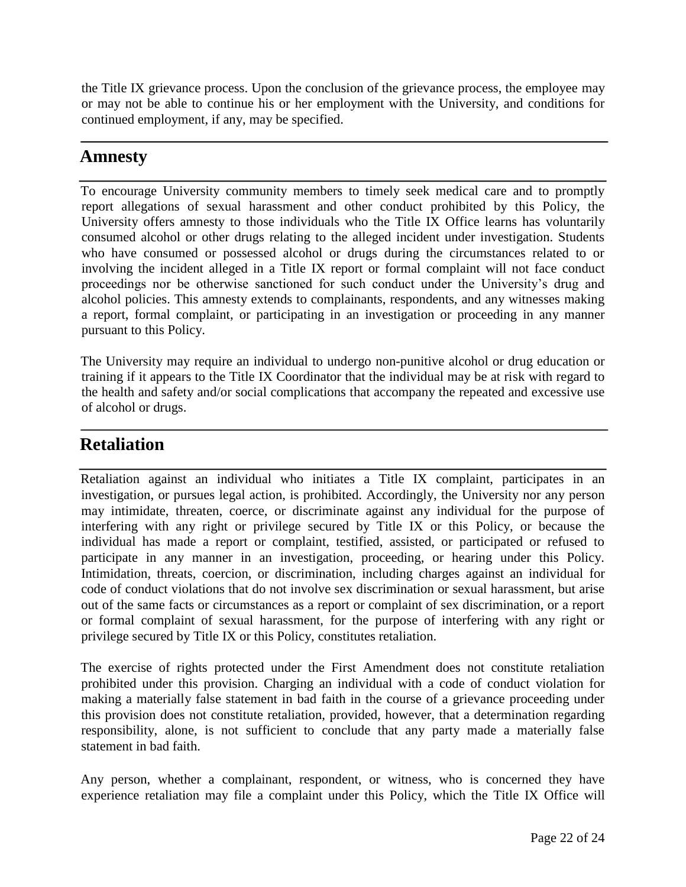the Title IX grievance process. Upon the conclusion of the grievance process, the employee may or may not be able to continue his or her employment with the University, and conditions for continued employment, if any, may be specified.

## **Amnesty**

To encourage University community members to timely seek medical care and to promptly report allegations of sexual harassment and other conduct prohibited by this Policy, the University offers amnesty to those individuals who the Title IX Office learns has voluntarily consumed alcohol or other drugs relating to the alleged incident under investigation. Students who have consumed or possessed alcohol or drugs during the circumstances related to or involving the incident alleged in a Title IX report or formal complaint will not face conduct proceedings nor be otherwise sanctioned for such conduct under the University's drug and alcohol policies. This amnesty extends to complainants, respondents, and any witnesses making a report, formal complaint, or participating in an investigation or proceeding in any manner pursuant to this Policy.

The University may require an individual to undergo non-punitive alcohol or drug education or training if it appears to the Title IX Coordinator that the individual may be at risk with regard to the health and safety and/or social complications that accompany the repeated and excessive use of alcohol or drugs.

# **Retaliation**

Retaliation against an individual who initiates a Title IX complaint, participates in an investigation, or pursues legal action, is prohibited. Accordingly, the University nor any person may intimidate, threaten, coerce, or discriminate against any individual for the purpose of interfering with any right or privilege secured by Title IX or this Policy, or because the individual has made a report or complaint, testified, assisted, or participated or refused to participate in any manner in an investigation, proceeding, or hearing under this Policy. Intimidation, threats, coercion, or discrimination, including charges against an individual for code of conduct violations that do not involve sex discrimination or sexual harassment, but arise out of the same facts or circumstances as a report or complaint of sex discrimination, or a report or formal complaint of sexual harassment, for the purpose of interfering with any right or privilege secured by Title IX or this Policy, constitutes retaliation.

The exercise of rights protected under the First Amendment does not constitute retaliation prohibited under this provision. Charging an individual with a code of conduct violation for making a materially false statement in bad faith in the course of a grievance proceeding under this provision does not constitute retaliation, provided, however, that a determination regarding responsibility, alone, is not sufficient to conclude that any party made a materially false statement in bad faith.

Any person, whether a complainant, respondent, or witness, who is concerned they have experience retaliation may file a complaint under this Policy, which the Title IX Office will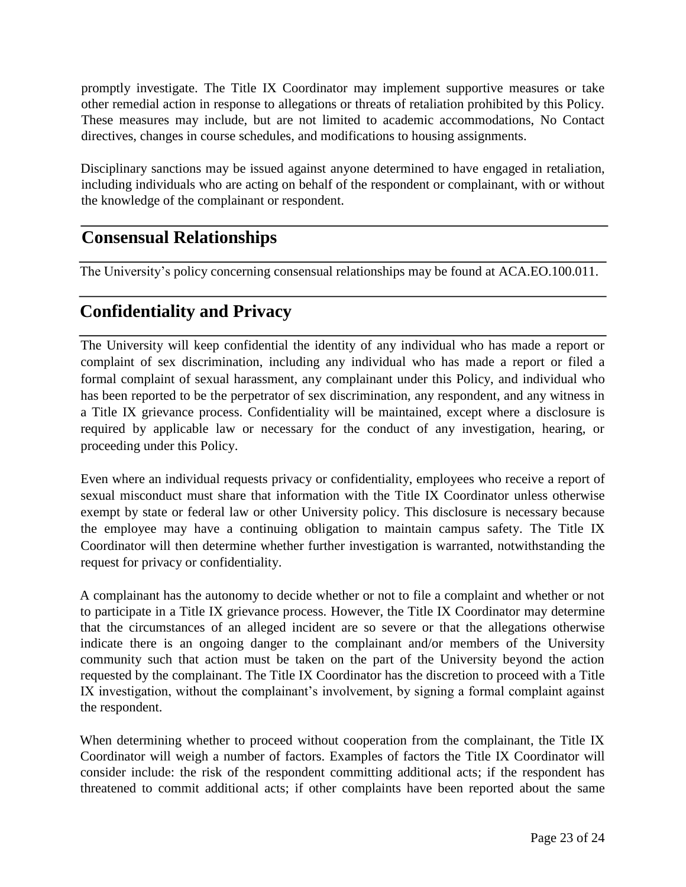promptly investigate. The Title IX Coordinator may implement supportive measures or take other remedial action in response to allegations or threats of retaliation prohibited by this Policy. These measures may include, but are not limited to academic accommodations, No Contact directives, changes in course schedules, and modifications to housing assignments.

Disciplinary sanctions may be issued against anyone determined to have engaged in retaliation, including individuals who are acting on behalf of the respondent or complainant, with or without the knowledge of the complainant or respondent.

# **Consensual Relationships**

The University's policy concerning consensual relationships may be found at ACA.EO.100.011.

# **Confidentiality and Privacy**

The University will keep confidential the identity of any individual who has made a report or complaint of sex discrimination, including any individual who has made a report or filed a formal complaint of sexual harassment, any complainant under this Policy, and individual who has been reported to be the perpetrator of sex discrimination, any respondent, and any witness in a Title IX grievance process. Confidentiality will be maintained, except where a disclosure is required by applicable law or necessary for the conduct of any investigation, hearing, or proceeding under this Policy.

Even where an individual requests privacy or confidentiality, employees who receive a report of sexual misconduct must share that information with the Title IX Coordinator unless otherwise exempt by state or federal law or other University policy. This disclosure is necessary because the employee may have a continuing obligation to maintain campus safety. The Title IX Coordinator will then determine whether further investigation is warranted, notwithstanding the request for privacy or confidentiality.

A complainant has the autonomy to decide whether or not to file a complaint and whether or not to participate in a Title IX grievance process. However, the Title IX Coordinator may determine that the circumstances of an alleged incident are so severe or that the allegations otherwise indicate there is an ongoing danger to the complainant and/or members of the University community such that action must be taken on the part of the University beyond the action requested by the complainant. The Title IX Coordinator has the discretion to proceed with a Title IX investigation, without the complainant's involvement, by signing a formal complaint against the respondent.

When determining whether to proceed without cooperation from the complainant, the Title IX Coordinator will weigh a number of factors. Examples of factors the Title IX Coordinator will consider include: the risk of the respondent committing additional acts; if the respondent has threatened to commit additional acts; if other complaints have been reported about the same